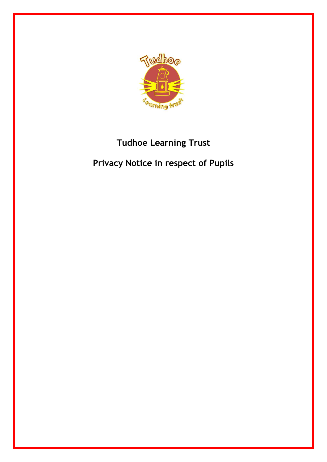

# **Tudhoe Learning Trust**

# **Privacy Notice in respect of Pupils**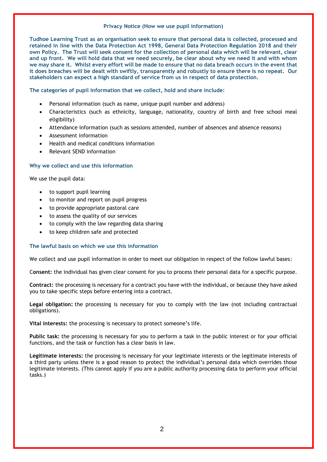#### **Privacy Notice (How we use pupil information)**

**Tudhoe Learning Trust as an organisation seek to ensure that personal data is collected, processed and retained in line with the Data Protection Act 1998, General Data Protection Regulation 2018 and their own Policy. The Trust will seek consent for the collection of personal data which will be relevant, clear and up front. We will hold data that we need securely, be clear about why we need it and with whom we may share it. Whilst every effort will be made to ensure that no data breach occurs in the event that it does breaches will be dealt with swiftly, transparently and robustly to ensure there is no repeat. Our stakeholders can expect a high standard of service from us in respect of data protection.**

## **The categories of pupil information that we collect, hold and share include:**

- Personal information (such as name, unique pupil number and address)
- Characteristics (such as ethnicity, language, nationality, country of birth and free school meal eligibility)
- Attendance information (such as sessions attended, number of absences and absence reasons)
- Assessment information
- Health and medical conditions information
- Relevant SEND information

## **Why we collect and use this information**

We use the pupil data:

- to support pupil learning
- to monitor and report on pupil progress
- to provide appropriate pastoral care
- to assess the quality of our services
- to comply with the law regarding data sharing
- to keep children safe and protected

#### **The lawful basis on which we use this information**

We collect and use pupil information in order to meet our obligation in respect of the follow lawful bases**:**

**Consent:** the individual has given clear consent for you to process their personal data for a specific purpose.

**Contract:** the processing is necessary for a contract you have with the individual, or because they have asked you to take specific steps before entering into a contract.

**Legal obligation:** the processing is necessary for you to comply with the law (not including contractual obligations).

**Vital interests:** the processing is necessary to protect someone's life.

**Public task:** the processing is necessary for you to perform a task in the public interest or for your official functions, and the task or function has a clear basis in law.

**Legitimate interests:** the processing is necessary for your legitimate interests or the legitimate interests of a third party unless there is a good reason to protect the individual's personal data which overrides those legitimate interests. (This cannot apply if you are a public authority processing data to perform your official tasks.)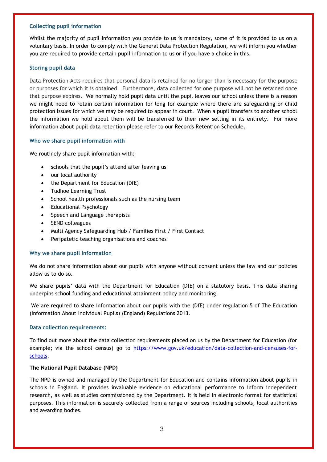#### **Collecting pupil information**

Whilst the majority of pupil information you provide to us is mandatory, some of it is provided to us on a voluntary basis. In order to comply with the General Data Protection Regulation, we will inform you whether you are required to provide certain pupil information to us or if you have a choice in this.

## **Storing pupil data**

Data Protection Acts requires that personal data is retained for no longer than is necessary for the purpose or purposes for which it is obtained. Furthermore, data collected for one purpose will not be retained once that purpose expires. We normally hold pupil data until the pupil leaves our school unless there is a reason we might need to retain certain information for long for example where there are safeguarding or child protection issues for which we may be required to appear in court. When a pupil transfers to another school the information we hold about them will be transferred to their new setting in its entirety. For more information about pupil data retention please refer to our Records Retention Schedule.

## **Who we share pupil information with**

We routinely share pupil information with:

- schools that the pupil's attend after leaving us
- our local authority
- the Department for Education (DfE)
- Tudhoe Learning Trust
- School health professionals such as the nursing team
- Educational Psychology
- Speech and Language therapists
- SEND colleagues
- Multi Agency Safeguarding Hub / Families First / First Contact
- Peripatetic teaching organisations and coaches

## **Why we share pupil information**

We do not share information about our pupils with anyone without consent unless the law and our policies allow us to do so.

We share pupils' data with the Department for Education (DfE) on a statutory basis. This data sharing underpins school funding and educational attainment policy and monitoring.

We are required to share information about our pupils with the (DfE) under regulation 5 of The Education (Information About Individual Pupils) (England) Regulations 2013.

## **Data collection requirements:**

To find out more about the data collection requirements placed on us by the Department for Education (for example; via the school census) go to [https://www.gov.uk/education/data-collection-and-censuses-for](https://www.gov.uk/education/data-collection-and-censuses-for-schools)[schools.](https://www.gov.uk/education/data-collection-and-censuses-for-schools)

#### **The National Pupil Database (NPD)**

The NPD is owned and managed by the Department for Education and contains information about pupils in schools in England. It provides invaluable evidence on educational performance to inform independent research, as well as studies commissioned by the Department. It is held in electronic format for statistical purposes. This information is securely collected from a range of sources including schools, local authorities and awarding bodies.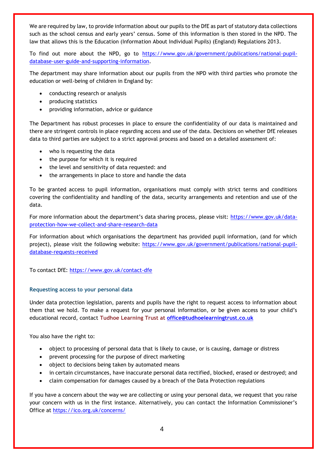We are required by law, to provide information about our pupils to the DfE as part of statutory data collections such as the school census and early years' census. Some of this information is then stored in the NPD. The law that allows this is the Education (Information About Individual Pupils) (England) Regulations 2013.

To find out more about the NPD, go to [https://www.gov.uk/government/publications/national-pupil](https://www.gov.uk/government/publications/national-pupil-database-user-guide-and-supporting-information)[database-user-guide-and-supporting-information.](https://www.gov.uk/government/publications/national-pupil-database-user-guide-and-supporting-information)

The department may share information about our pupils from the NPD with third parties who promote the education or well-being of children in England by:

- conducting research or analysis
- producing statistics
- providing information, advice or guidance

The Department has robust processes in place to ensure the confidentiality of our data is maintained and there are stringent controls in place regarding access and use of the data. Decisions on whether DfE releases data to third parties are subject to a strict approval process and based on a detailed assessment of:

- who is requesting the data
- the purpose for which it is required
- the level and sensitivity of data requested: and
- the arrangements in place to store and handle the data

To be granted access to pupil information, organisations must comply with strict terms and conditions covering the confidentiality and handling of the data, security arrangements and retention and use of the data.

For more information about the department's data sharing process, please visit: [https://www.gov.uk/data](https://www.gov.uk/data-protection-how-we-collect-and-share-research-data)[protection-how-we-collect-and-share-research-data](https://www.gov.uk/data-protection-how-we-collect-and-share-research-data)

For information about which organisations the department has provided pupil information, (and for which project), please visit the following website: [https://www.gov.uk/government/publications/national-pupil](https://www.gov.uk/government/publications/national-pupil-database-requests-received)[database-requests-received](https://www.gov.uk/government/publications/national-pupil-database-requests-received)

To contact DfE:<https://www.gov.uk/contact-dfe>

## **Requesting access to your personal data**

Under data protection legislation, parents and pupils have the right to request access to information about them that we hold. To make a request for your personal information, or be given access to your child's educational record, contact **Tudhoe Learning Trust at [office@tudhoelearningtrust.co.uk](mailto:office@tudhoelearningtrust.co.uk)**

You also have the right to:

- object to processing of personal data that is likely to cause, or is causing, damage or distress
- prevent processing for the purpose of direct marketing
- object to decisions being taken by automated means
- in certain circumstances, have inaccurate personal data rectified, blocked, erased or destroyed; and
- claim compensation for damages caused by a breach of the Data Protection regulations

If you have a concern about the way we are collecting or using your personal data, we request that you raise your concern with us in the first instance. Alternatively, you can contact the Information Commissioner's Office at<https://ico.org.uk/concerns/>